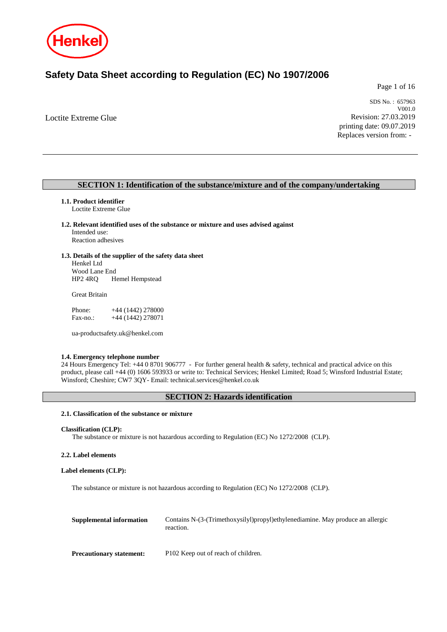

# **Safety Data Sheet according to Regulation (EC) No 1907/2006**

Page 1 of 16

Loctite Extreme Glue

SDS No. : 657963 V001.0 Revision: 27.03.2019 printing date: 09.07.2019 Replaces version from: -

# **SECTION 1: Identification of the substance/mixture and of the company/undertaking**

### **1.1. Product identifier**

Loctite Extreme Glue

**1.2. Relevant identified uses of the substance or mixture and uses advised against** Intended use: Reaction adhesives

# **1.3. Details of the supplier of the safety data sheet**

Henkel Ltd Wood Lane End<br>HP2 4RQ H Hemel Hempstead

Great Britain

Phone: +44 (1442) 278000 Fax-no.: +44 (1442) 278071

ua-productsafety.uk@henkel.com

#### **1.4. Emergency telephone number**

24 Hours Emergency Tel: +44 0 8701 906777 - For further general health & safety, technical and practical advice on this product, please call +44 (0) 1606 593933 or write to: Technical Services; Henkel Limited; Road 5; Winsford Industrial Estate; Winsford; Cheshire; CW7 3QY- Email: technical.services@henkel.co.uk

### **SECTION 2: Hazards identification**

# **2.1. Classification of the substance or mixture**

#### **Classification (CLP):**

The substance or mixture is not hazardous according to Regulation (EC) No 1272/2008 (CLP).

#### **2.2. Label elements**

# **Label elements (CLP):**

The substance or mixture is not hazardous according to Regulation (EC) No 1272/2008 (CLP).

| Supplemental information        | Contains N-(3-(Trimethoxysilyl)propyl)ethylenediamine. May produce an allergic<br>reaction. |
|---------------------------------|---------------------------------------------------------------------------------------------|
| <b>Precautionary statement:</b> | P102 Keep out of reach of children.                                                         |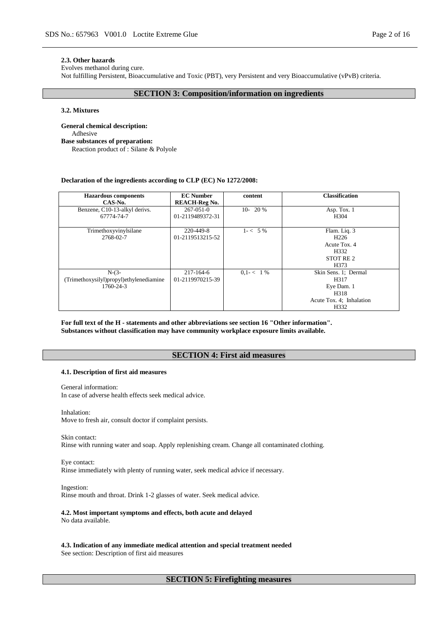#### **2.3. Other hazards**

Evolves methanol during cure.

Not fulfilling Persistent, Bioaccumulative and Toxic (PBT), very Persistent and very Bioaccumulative (vPvB) criteria.

# **SECTION 3: Composition/information on ingredients**

### **3.2. Mixtures**

**General chemical description:** Adhesive **Base substances of preparation:** Reaction product of : Silane & Polyole

#### **Declaration of the ingredients according to CLP (EC) No 1272/2008:**

| <b>Hazardous</b> components<br>CAS-No.                          | <b>EC Number</b><br><b>REACH-Reg No.</b> | content       | <b>Classification</b>                                                                    |
|-----------------------------------------------------------------|------------------------------------------|---------------|------------------------------------------------------------------------------------------|
| Benzene, C10-13-alkyl derivs.<br>67774-74-7                     | $267 - 051 - 0$<br>01-2119489372-31      | $10-20%$      | Asp. Tox. 1<br>H <sub>304</sub>                                                          |
| Trimethoxyvinylsilane<br>2768-02-7                              | 220-449-8<br>01-2119513215-52            | $1 - 5\%$     | Flam. Liq. 3<br>H <sub>226</sub><br>Acute Tox. 4<br>H332<br>STOT RE <sub>2</sub><br>H373 |
| $N-(3-$<br>(Trimethoxysilyl)propyl)ethylenediamine<br>1760-24-3 | 217-164-6<br>01-2119970215-39            | $0.1 - < 1\%$ | Skin Sens. 1; Dermal<br>H317<br>Eye Dam. 1<br>H318<br>Acute Tox. 4; Inhalation<br>H332   |

**For full text of the H - statements and other abbreviations see section 16 "Other information". Substances without classification may have community workplace exposure limits available.**

### **SECTION 4: First aid measures**

#### **4.1. Description of first aid measures**

General information:

In case of adverse health effects seek medical advice.

Inhalation:

Move to fresh air, consult doctor if complaint persists.

Skin contact:

Rinse with running water and soap. Apply replenishing cream. Change all contaminated clothing.

Eye contact: Rinse immediately with plenty of running water, seek medical advice if necessary.

Ingestion:

Rinse mouth and throat. Drink 1-2 glasses of water. Seek medical advice.

# **4.2. Most important symptoms and effects, both acute and delayed**

No data available.

**4.3. Indication of any immediate medical attention and special treatment needed** See section: Description of first aid measures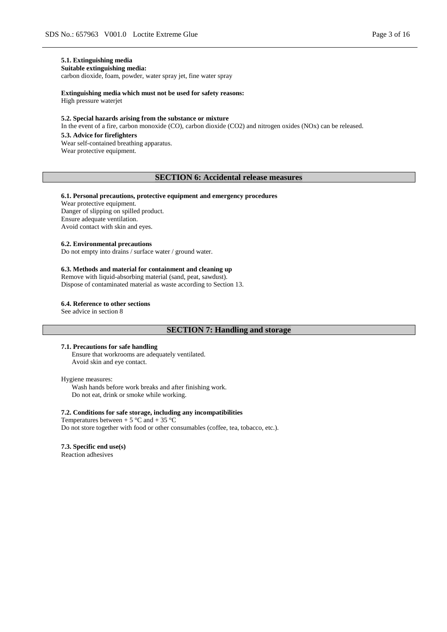# **5.1. Extinguishing media**

**Suitable extinguishing media:** carbon dioxide, foam, powder, water spray jet, fine water spray

**Extinguishing media which must not be used for safety reasons:**

High pressure waterjet

#### **5.2. Special hazards arising from the substance or mixture**

In the event of a fire, carbon monoxide (CO), carbon dioxide (CO2) and nitrogen oxides (NOx) can be released.

#### **5.3. Advice for firefighters**

Wear self-contained breathing apparatus. Wear protective equipment.

# **SECTION 6: Accidental release measures**

#### **6.1. Personal precautions, protective equipment and emergency procedures**

Wear protective equipment. Danger of slipping on spilled product. Ensure adequate ventilation. Avoid contact with skin and eyes.

#### **6.2. Environmental precautions**

Do not empty into drains / surface water / ground water.

### **6.3. Methods and material for containment and cleaning up**

Remove with liquid-absorbing material (sand, peat, sawdust). Dispose of contaminated material as waste according to Section 13.

#### **6.4. Reference to other sections**

See advice in section 8

# **SECTION 7: Handling and storage**

#### **7.1. Precautions for safe handling**

Ensure that workrooms are adequately ventilated. Avoid skin and eye contact.

#### Hygiene measures:

Wash hands before work breaks and after finishing work. Do not eat, drink or smoke while working.

#### **7.2. Conditions for safe storage, including any incompatibilities**

Temperatures between  $+ 5$  °C and  $+ 35$  °C Do not store together with food or other consumables (coffee, tea, tobacco, etc.).

### **7.3. Specific end use(s)**

Reaction adhesives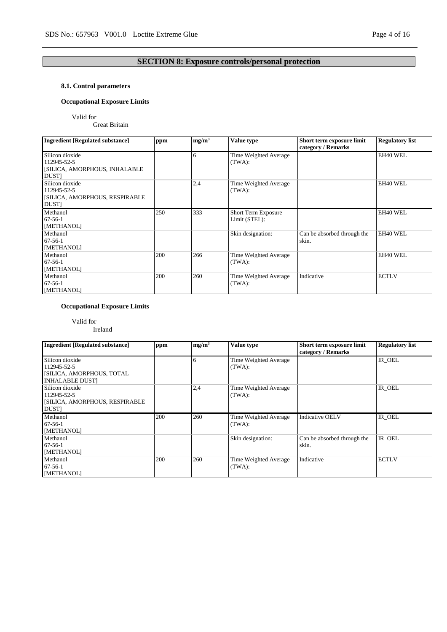# **SECTION 8: Exposure controls/personal protection**

# **8.1. Control parameters**

# **Occupational Exposure Limits**

# Valid for

Great Britain

| <b>Ingredient [Regulated substance]</b>                                         | ppm | mg/m <sup>3</sup> | Value type                           | Short term exposure limit            | <b>Regulatory list</b> |
|---------------------------------------------------------------------------------|-----|-------------------|--------------------------------------|--------------------------------------|------------------------|
|                                                                                 |     |                   |                                      | category / Remarks                   |                        |
| Silicon dioxide<br>112945-52-5<br>[SILICA, AMORPHOUS, INHALABLE<br><b>DUST</b>  |     | 6                 | Time Weighted Average<br>(TWA):      |                                      | EH40 WEL               |
| Silicon dioxide<br>112945-52-5<br>[SILICA, AMORPHOUS, RESPIRABLE<br><b>DUST</b> |     | 2,4               | Time Weighted Average<br>(TWA):      |                                      | EH40 WEL               |
| Methanol<br>$67 - 56 - 1$<br>[METHANOL]                                         | 250 | 333               | Short Term Exposure<br>Limit (STEL): |                                      | EH40 WEL               |
| Methanol<br>$67-56-1$<br>[METHANOL]                                             |     |                   | Skin designation:                    | Can be absorbed through the<br>skin. | EH40 WEL               |
| Methanol<br>$67-56-1$<br>[METHANOL]                                             | 200 | 266               | Time Weighted Average<br>(TWA):      |                                      | EH40 WEL               |
| Methanol<br>$67-56-1$<br>[METHANOL]                                             | 200 | 260               | Time Weighted Average<br>(TWA):      | Indicative                           | <b>ECTLV</b>           |

# **Occupational Exposure Limits**

# Valid for

Ireland

| <b>Ingredient [Regulated substance]</b> | ppm | mg/m <sup>3</sup> | Value type            | Short term exposure limit<br>category / Remarks | <b>Regulatory list</b> |
|-----------------------------------------|-----|-------------------|-----------------------|-------------------------------------------------|------------------------|
| Silicon dioxide                         |     | 6                 | Time Weighted Average |                                                 | IR OEL                 |
| 112945-52-5                             |     |                   | (TWA):                |                                                 |                        |
| [SILICA, AMORPHOUS, TOTAL               |     |                   |                       |                                                 |                        |
| <b>INHALABLE DUST]</b>                  |     |                   |                       |                                                 |                        |
| Silicon dioxide                         |     | 2,4               | Time Weighted Average |                                                 | IR OEL                 |
| 112945-52-5                             |     |                   | (TWA):                |                                                 |                        |
| [SILICA, AMORPHOUS, RESPIRABLE          |     |                   |                       |                                                 |                        |
| <b>DUST</b>                             |     |                   |                       |                                                 |                        |
| Methanol                                | 200 | 260               | Time Weighted Average | <b>Indicative OELV</b>                          | IR OEL                 |
| $67-56-1$                               |     |                   | (TWA):                |                                                 |                        |
| [METHANOL]                              |     |                   |                       |                                                 |                        |
| Methanol                                |     |                   | Skin designation:     | Can be absorbed through the                     | IR OEL                 |
| $67-56-1$                               |     |                   |                       | skin.                                           |                        |
| [METHANOL]                              |     |                   |                       |                                                 |                        |
| Methanol                                | 200 | 260               | Time Weighted Average | Indicative                                      | <b>ECTLV</b>           |
| $67-56-1$                               |     |                   | (TWA):                |                                                 |                        |
| [METHANOL]                              |     |                   |                       |                                                 |                        |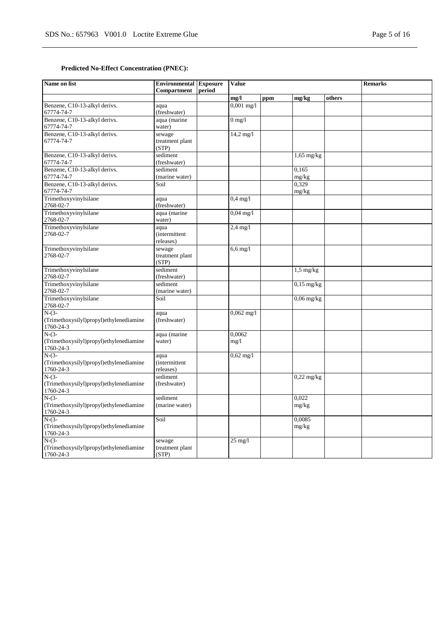# **Predicted No-Effect Concentration (PNEC):**

| Name on list                                                    | <b>Environmental</b> Exposure<br>Compartment | period | <b>Value</b>           |     |                         |        | <b>Remarks</b> |
|-----------------------------------------------------------------|----------------------------------------------|--------|------------------------|-----|-------------------------|--------|----------------|
|                                                                 |                                              |        | mg/l                   | ppm | mg/kg                   | others |                |
| Benzene, C10-13-alkyl derivs.<br>67774-74-7                     | aqua<br>(freshwater)                         |        | $0,001$ mg/l           |     |                         |        |                |
| Benzene, C10-13-alkyl derivs.<br>67774-74-7                     | aqua (marine<br>water)                       |        | $0 \text{ mg}/1$       |     |                         |        |                |
| Benzene, C10-13-alkyl derivs.<br>67774-74-7                     | sewage<br>treatment plant<br>(STP)           |        | $14,2 \,\mathrm{mg}/l$ |     |                         |        |                |
| Benzene, C10-13-alkyl derivs.<br>67774-74-7                     | sediment<br>(freshwater)                     |        |                        |     | $1,65$ mg/kg            |        |                |
| Benzene, C10-13-alkyl derivs.<br>67774-74-7                     | sediment<br>(marine water)                   |        |                        |     | 0,165<br>mg/kg          |        |                |
| Benzene, C10-13-alkyl derivs.<br>67774-74-7                     | Soil                                         |        |                        |     | 0,329<br>mg/kg          |        |                |
| Trimethoxyvinylsilane<br>2768-02-7                              | aqua<br>(freshwater)                         |        | $0.4$ mg/l             |     |                         |        |                |
| Trimethoxyvinylsilane<br>2768-02-7                              | aqua (marine<br>water)                       |        | $0,04 \text{ mg}/1$    |     |                         |        |                |
| Trimethoxyvinylsilane<br>2768-02-7                              | aqua<br><i>(intermittent</i><br>releases)    |        | $2.4$ mg/l             |     |                         |        |                |
| Trimethoxyvinylsilane<br>2768-02-7                              | sewage<br>treatment plant<br>(STP)           |        | $6,6$ mg/l             |     |                         |        |                |
| Trimethoxyvinylsilane<br>2768-02-7                              | sediment<br>(freshwater)                     |        |                        |     | $1,5$ mg/kg             |        |                |
| Trimethoxyvinylsilane<br>2768-02-7                              | sediment<br>(marine water)                   |        |                        |     | $0,15$ mg/kg            |        |                |
| Trimethoxyvinylsilane<br>2768-02-7                              | Soil                                         |        |                        |     | $\overline{0,06}$ mg/kg |        |                |
| $N-(3-$<br>(Trimethoxysilyl)propyl)ethylenediamine<br>1760-24-3 | aqua<br>(freshwater)                         |        | $0,062$ mg/l           |     |                         |        |                |
| $N-(3-$<br>(Trimethoxysilyl)propyl)ethylenediamine<br>1760-24-3 | aqua (marine<br>water)                       |        | 0.0062<br>mg/1         |     |                         |        |                |
| $N-(3-$<br>(Trimethoxysilyl)propyl)ethylenediamine<br>1760-24-3 | aqua<br><i>(intermittent)</i><br>releases)   |        | $0,62 \text{ mg}/1$    |     |                         |        |                |
| $N-(3-$<br>(Trimethoxysilyl)propyl)ethylenediamine<br>1760-24-3 | sediment<br>(freshwater)                     |        |                        |     | $0,22$ mg/kg            |        |                |
| $N-(3-$<br>(Trimethoxysilyl)propyl)ethylenediamine<br>1760-24-3 | sediment<br>(marine water)                   |        |                        |     | 0.022<br>mg/kg          |        |                |
| $N-(3-$<br>(Trimethoxysilyl)propyl)ethylenediamine<br>1760-24-3 | Soil                                         |        |                        |     | 0,0085<br>mg/kg         |        |                |
| $N-(3-$<br>(Trimethoxysilyl)propyl)ethylenediamine<br>1760-24-3 | sewage<br>treatment plant<br>(STP)           |        | $25$ mg/l              |     |                         |        |                |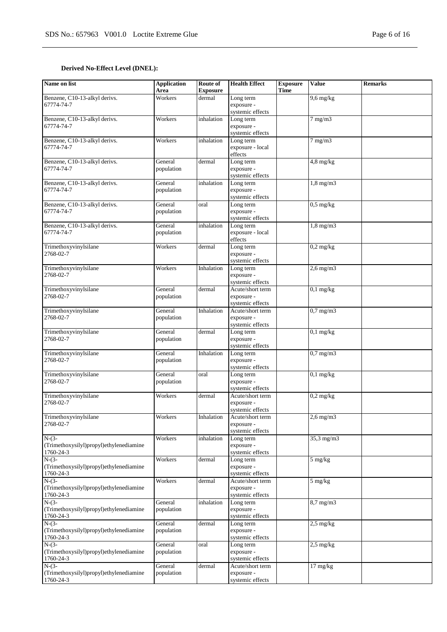# **Derived No-Effect Level (DNEL):**

| Name on list                                         | <b>Application</b><br>Area | Route of<br><b>Exposure</b> | <b>Health Effect</b>           | <b>Exposure</b><br><b>Time</b> | <b>Value</b>        | <b>Remarks</b> |
|------------------------------------------------------|----------------------------|-----------------------------|--------------------------------|--------------------------------|---------------------|----------------|
| Benzene, C10-13-alkyl derivs.                        | Workers                    | dermal                      | Long term                      |                                | $9,6$ mg/kg         |                |
| 67774-74-7                                           |                            |                             | exposure -                     |                                |                     |                |
|                                                      |                            |                             | systemic effects               |                                |                     |                |
| Benzene, C10-13-alkyl derivs.                        | Workers                    | inhalation                  | Long term                      |                                | $7 \text{ mg/m}$    |                |
| 67774-74-7                                           |                            |                             | exposure -                     |                                |                     |                |
|                                                      |                            |                             | systemic effects               |                                |                     |                |
| Benzene, C10-13-alkyl derivs.                        | Workers                    | inhalation                  | Long term                      |                                | $7$ mg/m $3$        |                |
| 67774-74-7                                           |                            |                             | exposure - local               |                                |                     |                |
|                                                      |                            |                             | effects                        |                                |                     |                |
| Benzene, C10-13-alkyl derivs.                        | General                    | dermal                      | Long term                      |                                | $4,8$ mg/kg         |                |
| 67774-74-7                                           | population                 |                             | exposure -                     |                                |                     |                |
|                                                      |                            |                             | systemic effects               |                                |                     |                |
| Benzene, C10-13-alkyl derivs.<br>67774-74-7          | General                    | inhalation                  | Long term<br>exposure -        |                                | $1,8$ mg/m $3$      |                |
|                                                      | population                 |                             | systemic effects               |                                |                     |                |
| Benzene, C10-13-alkyl derivs.                        | General                    | oral                        | Long term                      |                                | $0.5$ mg/kg         |                |
| 67774-74-7                                           | population                 |                             | exposure -                     |                                |                     |                |
|                                                      |                            |                             | systemic effects               |                                |                     |                |
| Benzene, C10-13-alkyl derivs.                        | General                    | inhalation                  | Long term                      |                                | $1,8$ mg/m $3$      |                |
| 67774-74-7                                           | population                 |                             | exposure - local               |                                |                     |                |
|                                                      |                            |                             | effects                        |                                |                     |                |
| Trimethoxyvinylsilane                                | Workers                    | dermal                      | Long term                      |                                | $0,2$ mg/kg         |                |
| 2768-02-7                                            |                            |                             | exposure -                     |                                |                     |                |
|                                                      |                            |                             | systemic effects               |                                |                     |                |
| Trimethoxyvinylsilane                                | Workers                    | Inhalation                  | Long term                      |                                | $2,6$ mg/m $3$      |                |
| 2768-02-7                                            |                            |                             | exposure -                     |                                |                     |                |
|                                                      |                            |                             | systemic effects               |                                |                     |                |
| Trimethoxyvinylsilane                                | General                    | dermal                      | Acute/short term               |                                | $0,1$ mg/kg         |                |
| 2768-02-7                                            | population                 |                             | exposure -                     |                                |                     |                |
|                                                      |                            |                             | systemic effects               |                                |                     |                |
| Trimethoxyvinylsilane                                | General                    | Inhalation                  | Acute/short term               |                                | $0.7$ mg/m $3$      |                |
| 2768-02-7                                            | population                 |                             | exposure -                     |                                |                     |                |
|                                                      |                            |                             | systemic effects               |                                |                     |                |
| Trimethoxyvinylsilane<br>2768-02-7                   | General<br>population      | dermal                      | Long term<br>exposure -        |                                | $0,1$ mg/kg         |                |
|                                                      |                            |                             | systemic effects               |                                |                     |                |
| Trimethoxyvinylsilane                                | General                    | Inhalation                  | Long term                      |                                | $0,7$ mg/m $3$      |                |
| 2768-02-7                                            | population                 |                             | exposure -                     |                                |                     |                |
|                                                      |                            |                             | systemic effects               |                                |                     |                |
| Trimethoxyvinylsilane                                | General                    | oral                        | Long term                      |                                | $0,1$ mg/kg         |                |
| 2768-02-7                                            | population                 |                             | exposure -                     |                                |                     |                |
|                                                      |                            |                             | systemic effects               |                                |                     |                |
| Trimethoxyvinylsilane                                | Workers                    | dermal                      | Acute/short term               |                                | $0,2$ mg/kg         |                |
| 2768-02-7                                            |                            |                             | exposure -                     |                                |                     |                |
|                                                      |                            |                             | systemic effects               |                                |                     |                |
| Trimethoxyvinylsilane                                | Workers                    | Inhalation                  | Acute/short term               |                                | $2,6$ mg/m $3$      |                |
| 2768-02-7                                            |                            |                             | exposure -                     |                                |                     |                |
|                                                      |                            |                             | systemic effects               |                                |                     |                |
| $N-(3-$                                              | Workers                    | inhalation                  | Long term                      |                                | $35,3$ mg/m $3$     |                |
| (Trimethoxysilyl)propyl)ethylenediamine<br>1760-24-3 |                            |                             | exposure -<br>systemic effects |                                |                     |                |
| $N-(3-$                                              | Workers                    | dermal                      | Long term                      |                                | $5 \text{ mg/kg}$   |                |
| (Trimethoxysilyl)propyl)ethylenediamine              |                            |                             | exposure -                     |                                |                     |                |
| 1760-24-3                                            |                            |                             | systemic effects               |                                |                     |                |
| $N-(3-$                                              | Workers                    | dermal                      | Acute/short term               |                                | $5 \text{ mg/kg}$   |                |
| (Trimethoxysilyl)propyl)ethylenediamine              |                            |                             | exposure -                     |                                |                     |                |
| 1760-24-3                                            |                            |                             | systemic effects               |                                |                     |                |
| $N-(3-$                                              | General                    | inhalation                  | Long term                      |                                | $8,7$ mg/m $3$      |                |
| (Trimethoxysilyl)propyl)ethylenediamine              | population                 |                             | exposure -                     |                                |                     |                |
| 1760-24-3                                            |                            |                             | systemic effects               |                                |                     |                |
| $N-(3-$                                              | General                    | dermal                      | Long term                      |                                | $2.5 \text{ mg/kg}$ |                |
| (Trimethoxysilyl)propyl)ethylenediamine              | population                 |                             | exposure -                     |                                |                     |                |
| 1760-24-3                                            |                            |                             | systemic effects               |                                |                     |                |
| $N-(3-$                                              | General                    | oral                        | Long term                      |                                | $2,5$ mg/kg         |                |
| (Trimethoxysilyl)propyl)ethylenediamine              | population                 |                             | exposure -                     |                                |                     |                |
| 1760-24-3                                            |                            |                             | systemic effects               |                                |                     |                |
| $N-(3-$<br>(Trimethoxysilyl)propyl)ethylenediamine   | General                    | dermal                      | Acute/short term<br>exposure - |                                | $17 \text{ mg/kg}$  |                |
| 1760-24-3                                            | population                 |                             | systemic effects               |                                |                     |                |
|                                                      |                            |                             |                                |                                |                     |                |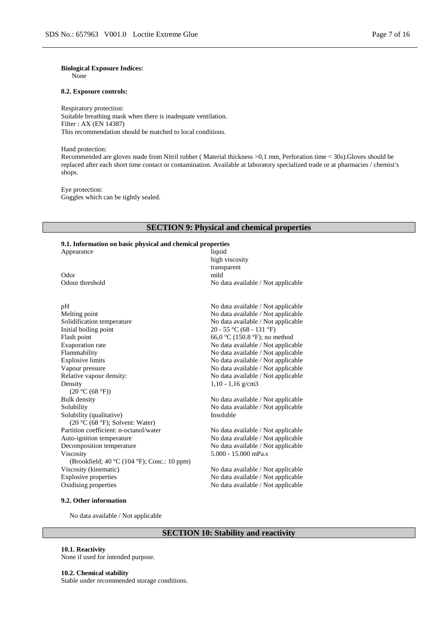**Biological Exposure Indices:**

None

#### **8.2. Exposure controls:**

Respiratory protection: Suitable breathing mask when there is inadequate ventilation. Filter : AX (EN 14387) This recommendation should be matched to local conditions.

Hand protection:

Recommended are gloves made from Nitril rubber ( Material thickness >0,1 mm, Perforation time < 30s).Gloves should be replaced after each short time contact or contamination. Available at laboratory specialized trade or at pharmacies / chemist's shops.

Eye protection: Goggles which can be tightly sealed.

# **SECTION 9: Physical and chemical properties**

# **9.1. Information on basic physical and chemical properties**

| 2.1. ниот тайон он баяс рнузкаг ана сиснисаг ргорсгисэ        |                                    |
|---------------------------------------------------------------|------------------------------------|
| Appearance                                                    | liquid                             |
|                                                               | high viscosity                     |
|                                                               | transparent                        |
| Odor                                                          | mild                               |
| Odour threshold                                               | No data available / Not applicable |
|                                                               |                                    |
| pH                                                            | No data available / Not applicable |
| Melting point                                                 | No data available / Not applicable |
| Solidification temperature                                    | No data available / Not applicable |
| Initial boiling point                                         | 20 - 55 °C (68 - 131 °F)           |
| Flash point                                                   | 66,0 °C (150.8 °F); no method      |
| <b>Evaporation</b> rate                                       | No data available / Not applicable |
| Flammability                                                  | No data available / Not applicable |
| <b>Explosive limits</b>                                       | No data available / Not applicable |
| Vapour pressure                                               | No data available / Not applicable |
| Relative vapour density:                                      | No data available / Not applicable |
| Density                                                       | $1,10 - 1,16$ g/cm3                |
| (20 °C (68 °F))                                               |                                    |
| Bulk density                                                  | No data available / Not applicable |
| Solubility                                                    | No data available / Not applicable |
| Solubility (qualitative)                                      | Insoluble                          |
| $(20 °C (68 °F))$ ; Solvent: Water)                           |                                    |
| Partition coefficient: n-octanol/water                        | No data available / Not applicable |
| Auto-ignition temperature                                     | No data available / Not applicable |
| Decomposition temperature                                     | No data available / Not applicable |
| Viscosity                                                     | 5.000 - 15.000 mPa.s               |
| (Brookfield; 40 $\degree$ C (104 $\degree$ F); Conc.: 10 ppm) |                                    |
| Viscosity (kinematic)                                         | No data available / Not applicable |
| Explosive properties                                          | No data available / Not applicable |
| Oxidising properties                                          | No data available / Not applicable |
|                                                               |                                    |

# **9.2. Other information**

No data available / Not applicable

# **SECTION 10: Stability and reactivity**

#### **10.1. Reactivity**

None if used for intended purpose.

**10.2. Chemical stability**

Stable under recommended storage conditions.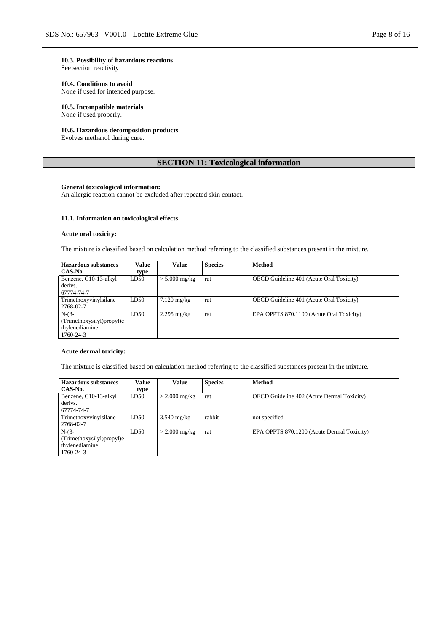#### **10.3. Possibility of hazardous reactions**

See section reactivity

#### **10.4. Conditions to avoid**

None if used for intended purpose.

#### **10.5. Incompatible materials** None if used properly.

# **10.6. Hazardous decomposition products**

Evolves methanol during cure.

# **SECTION 11: Toxicological information**

#### **General toxicological information:**

An allergic reaction cannot be excluded after repeated skin contact.

#### **11.1. Information on toxicological effects**

#### **Acute oral toxicity:**

The mixture is classified based on calculation method referring to the classified substances present in the mixture.

| Hazardous substances      | Value | Value                 | <b>Species</b> | <b>Method</b>                                   |
|---------------------------|-------|-----------------------|----------------|-------------------------------------------------|
| CAS-No.                   | type  |                       |                |                                                 |
| Benzene, C10-13-alkyl     | LD50  | $> 5.000$ mg/kg       | rat            | OECD Guideline 401 (Acute Oral Toxicity)        |
| derivs.                   |       |                       |                |                                                 |
| 67774-74-7                |       |                       |                |                                                 |
| Trimethoxyvinylsilane     | LD50  | $7.120 \text{ mg/kg}$ | rat            | <b>OECD</b> Guideline 401 (Acute Oral Toxicity) |
| 2768-02-7                 |       |                       |                |                                                 |
| $N-(3-$                   | LD50  | $2.295$ mg/kg         | rat            | EPA OPPTS 870.1100 (Acute Oral Toxicity)        |
| (Trimethoxysilyl)propyl)e |       |                       |                |                                                 |
| thylenediamine            |       |                       |                |                                                 |
| $1760 - 24 - 3$           |       |                       |                |                                                 |

#### **Acute dermal toxicity:**

The mixture is classified based on calculation method referring to the classified substances present in the mixture.

| <b>Hazardous substances</b> | <b>Value</b> | Value           | <b>Species</b> | <b>Method</b>                                     |
|-----------------------------|--------------|-----------------|----------------|---------------------------------------------------|
| CAS-No.                     | type         |                 |                |                                                   |
| Benzene, C10-13-alkyl       | LD50         | $>$ 2.000 mg/kg | rat            | <b>OECD</b> Guideline 402 (Acute Dermal Toxicity) |
| derivs.                     |              |                 |                |                                                   |
| 67774-74-7                  |              |                 |                |                                                   |
| Trimethoxyvinylsilane       | LD50         | $3.540$ mg/kg   | rabbit         | not specified                                     |
| 2768-02-7                   |              |                 |                |                                                   |
| $N-(3-$                     | LD50         | $>$ 2.000 mg/kg | rat            | EPA OPPTS 870.1200 (Acute Dermal Toxicity)        |
| (Trimethoxysilyl)propyl)e   |              |                 |                |                                                   |
| thylenediamine              |              |                 |                |                                                   |
| 1760-24-3                   |              |                 |                |                                                   |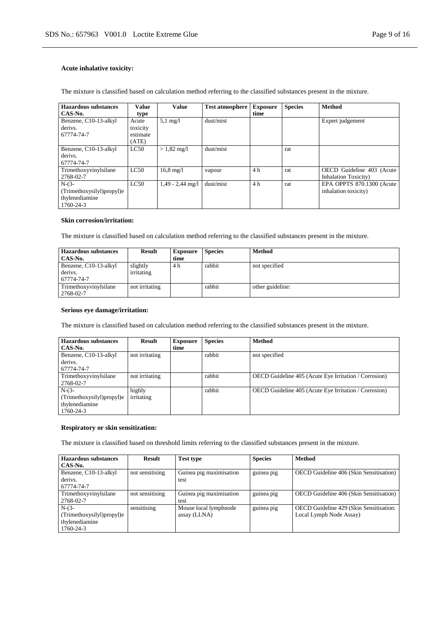# **Acute inhalative toxicity:**

The mixture is classified based on calculation method referring to the classified substances present in the mixture.

| <b>Hazardous substances</b> | Value    | <b>Value</b>          | <b>Test atmosphere</b> | <b>Exposure</b> | <b>Species</b> | <b>Method</b>                |
|-----------------------------|----------|-----------------------|------------------------|-----------------|----------------|------------------------------|
| CAS-No.                     | type     |                       |                        | time            |                |                              |
| Benzene, C10-13-alkyl       | Acute    | $5.1 \text{ mg}/l$    | dust/mist              |                 |                | Expert judgement             |
| derivs.                     | toxicity |                       |                        |                 |                |                              |
| 67774-74-7                  | estimate |                       |                        |                 |                |                              |
|                             | (ATE)    |                       |                        |                 |                |                              |
| Benzene, C10-13-alkyl       | LC50     | $> 1,82 \text{ mg/l}$ | dust/mist              |                 | rat            |                              |
| derivs.                     |          |                       |                        |                 |                |                              |
| 67774-74-7                  |          |                       |                        |                 |                |                              |
| Trimethoxyvinylsilane       | LC50     | $16.8 \text{ mg}/1$   | vapour                 | 4 h             | rat            | OECD Guideline 403 (Acute    |
| 2768-02-7                   |          |                       |                        |                 |                | <b>Inhalation Toxicity</b> ) |
| $N-(3-$                     | LC50     | $1.49 - 2.44$ mg/l    | dust/mist              | 4 h             | rat            | EPA OPPTS 870.1300 (Acute    |
| (Trimethoxysilyl)propyl)e   |          |                       |                        |                 |                | inhalation toxicity)         |
| thylenediamine              |          |                       |                        |                 |                |                              |
| 1760-24-3                   |          |                       |                        |                 |                |                              |

#### **Skin corrosion/irritation:**

The mixture is classified based on calculation method referring to the classified substances present in the mixture.

| <b>Hazardous substances</b><br>CAS-No.         | Result                 | <b>Exposure</b><br>time | <b>Species</b> | <b>Method</b>    |
|------------------------------------------------|------------------------|-------------------------|----------------|------------------|
| Benzene, C10-13-alkyl<br>derivs.<br>67774-74-7 | slightly<br>irritating | 4 h                     | rabbit         | not specified    |
| Trimethoxyvinylsilane<br>2768-02-7             | not irritating         |                         | rabbit         | other guideline: |

# **Serious eye damage/irritation:**

The mixture is classified based on calculation method referring to the classified substances present in the mixture.

| <b>Hazardous substances</b> | <b>Result</b>  | <b>Exposure</b> | <b>Species</b> | <b>Method</b>                                         |
|-----------------------------|----------------|-----------------|----------------|-------------------------------------------------------|
| CAS-No.                     |                | time            |                |                                                       |
| Benzene, C10-13-alkyl       | not irritating |                 | rabbit         | not specified                                         |
| derivs.                     |                |                 |                |                                                       |
| 67774-74-7                  |                |                 |                |                                                       |
| Trimethoxyvinylsilane       | not irritating |                 | rabbit         | OECD Guideline 405 (Acute Eye Irritation / Corrosion) |
| 2768-02-7                   |                |                 |                |                                                       |
| $N-(3-$                     | highly         |                 | rabbit         | OECD Guideline 405 (Acute Eye Irritation / Corrosion) |
| (Trimethoxysilyl)propyl)e   | irritating     |                 |                |                                                       |
| thylenediamine              |                |                 |                |                                                       |
| 1760-24-3                   |                |                 |                |                                                       |

#### **Respiratory or skin sensitization:**

The mixture is classified based on threshold limits referring to the classified substances present in the mixture.

| <b>Hazardous substances</b> | <b>Result</b>   | <b>Test type</b>        | <b>Species</b> | <b>Method</b>                           |
|-----------------------------|-----------------|-------------------------|----------------|-----------------------------------------|
| CAS-No.                     |                 |                         |                |                                         |
| Benzene, C10-13-alkyl       | not sensitising | Guinea pig maximisation | guinea pig     | OECD Guideline 406 (Skin Sensitisation) |
| derivs.                     |                 | test                    |                |                                         |
| 67774-74-7                  |                 |                         |                |                                         |
| Trimethoxyvinylsilane       | not sensitising | Guinea pig maximisation | guinea pig     | OECD Guideline 406 (Skin Sensitisation) |
| 2768-02-7                   |                 | test                    |                |                                         |
| $N-(3-$                     | sensitising     | Mouse local lymphnode   | guinea pig     | OECD Guideline 429 (Skin Sensitisation: |
| (Trimethoxysilyl)propyl)e   |                 | assay (LLNA)            |                | Local Lymph Node Assay)                 |
| thylenediamine              |                 |                         |                |                                         |
| 1760-24-3                   |                 |                         |                |                                         |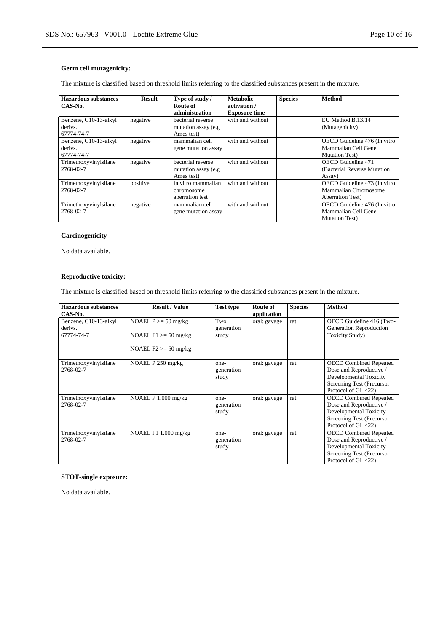# **Germ cell mutagenicity:**

The mixture is classified based on threshold limits referring to the classified substances present in the mixture.

| <b>Hazardous substances</b><br>CAS-No.         | Result   | Type of study /<br>Route of<br>administration           | <b>Metabolic</b><br>activation /<br><b>Exposure time</b> | <b>Species</b> | <b>Method</b>                                                                    |
|------------------------------------------------|----------|---------------------------------------------------------|----------------------------------------------------------|----------------|----------------------------------------------------------------------------------|
| Benzene, C10-13-alkyl<br>derivs.<br>67774-74-7 | negative | bacterial reverse<br>mutation assay (e.g.<br>Ames test) | with and without                                         |                | EU Method B.13/14<br>(Mutagenicity)                                              |
| Benzene, C10-13-alkyl<br>derivs.<br>67774-74-7 | negative | mammalian cell<br>gene mutation assay                   | with and without                                         |                | OECD Guideline 476 (In vitro<br>Mammalian Cell Gene<br><b>Mutation Test</b> )    |
| Trimethoxyvinylsilane<br>2768-02-7             | negative | bacterial reverse<br>mutation assay (e.g.<br>Ames test) | with and without                                         |                | <b>OECD</b> Guideline 471<br>(Bacterial Reverse Mutation)<br>Assay)              |
| Trimethoxyvinylsilane<br>2768-02-7             | positive | in vitro mammalian<br>chromosome<br>aberration test     | with and without                                         |                | OECD Guideline 473 (In vitro<br>Mammalian Chromosome<br><b>Aberration Test</b> ) |
| Trimethoxyvinylsilane<br>2768-02-7             | negative | mammalian cell<br>gene mutation assay                   | with and without                                         |                | OECD Guideline 476 (In vitro<br>Mammalian Cell Gene<br><b>Mutation Test</b> )    |

# **Carcinogenicity**

No data available.

# **Reproductive toxicity:**

The mixture is classified based on threshold limits referring to the classified substances present in the mixture.

| Hazardous substances<br>CAS-No.                | <b>Result / Value</b>                                                        | <b>Test type</b>            | Route of<br>application | <b>Species</b> | <b>Method</b>                                                                                                                          |
|------------------------------------------------|------------------------------------------------------------------------------|-----------------------------|-------------------------|----------------|----------------------------------------------------------------------------------------------------------------------------------------|
| Benzene, C10-13-alkyl<br>derivs.<br>67774-74-7 | NOAEL $P \ge 50$ mg/kg<br>NOAEL $F1 \ge 50$ mg/kg<br>NOAEL $F2 \ge 50$ mg/kg | Two<br>generation<br>study  | oral: gavage            | rat            | OECD Guideline 416 (Two-<br>Generation Reproduction<br><b>Toxicity Study</b> )                                                         |
| Trimethoxyvinylsilane<br>2768-02-7             | NOAEL P 250 mg/kg                                                            | one-<br>generation<br>study | oral: gavage            | rat            | <b>OECD Combined Repeated</b><br>Dose and Reproductive /<br>Developmental Toxicity<br>Screening Test (Precursor<br>Protocol of GL 422) |
| Trimethoxyvinylsilane<br>2768-02-7             | NOAEL $P$ 1.000 mg/kg                                                        | one-<br>generation<br>study | oral: gavage            | rat            | <b>OECD Combined Repeated</b><br>Dose and Reproductive /<br>Developmental Toxicity<br>Screening Test (Precursor<br>Protocol of GL 422) |
| Trimethoxyvinylsilane<br>2768-02-7             | NOAEL $F1 1.000$ mg/kg                                                       | one-<br>generation<br>study | oral: gavage            | rat            | <b>OECD Combined Repeated</b><br>Dose and Reproductive /<br>Developmental Toxicity<br>Screening Test (Precursor<br>Protocol of GL 422) |

# **STOT-single exposure:**

No data available.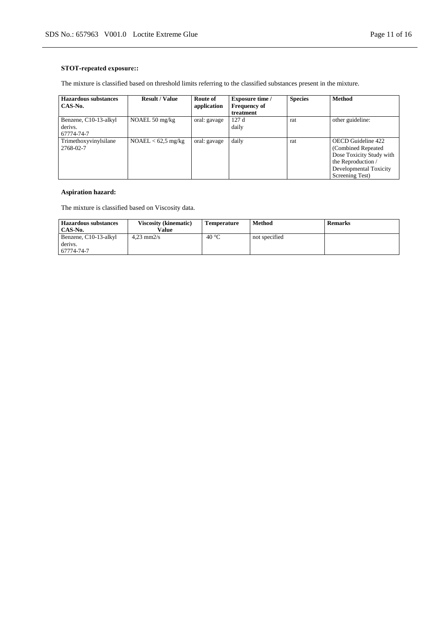# **STOT-repeated exposure::**

The mixture is classified based on threshold limits referring to the classified substances present in the mixture.

| <b>Hazardous substances</b> | <b>Result / Value</b>    | Route of     | <b>Exposure time /</b> | <b>Species</b> | <b>Method</b>            |
|-----------------------------|--------------------------|--------------|------------------------|----------------|--------------------------|
| CAS-No.                     |                          | application  | <b>Frequency of</b>    |                |                          |
|                             |                          |              | treatment              |                |                          |
| Benzene, C10-13-alkyl       | NOAEL $50 \text{ mg/kg}$ | oral: gavage | 127 d                  | rat            | other guideline:         |
| derivs.                     |                          |              | daily                  |                |                          |
| 67774-74-7                  |                          |              |                        |                |                          |
| Trimethoxyvinylsilane       | $NOAEL < 62.5$ mg/kg     | oral: gavage | daily                  | rat            | OECD Guideline 422       |
| 2768-02-7                   |                          |              |                        |                | (Combined Repeated)      |
|                             |                          |              |                        |                | Dose Toxicity Study with |
|                             |                          |              |                        |                | the Reproduction /       |
|                             |                          |              |                        |                | Developmental Toxicity   |
|                             |                          |              |                        |                | Screening Test)          |

# **Aspiration hazard:**

The mixture is classified based on Viscosity data.

| <b>Hazardous substances</b> | <b>Viscosity (kinematic)</b> | <b>Temperature</b> | Method        | <b>Remarks</b> |
|-----------------------------|------------------------------|--------------------|---------------|----------------|
| CAS-No.                     | Value                        |                    |               |                |
| Benzene, C10-13-alkyl       | $4.23$ mm $2/s$              | 40 °C              | not specified |                |
| derivs.                     |                              |                    |               |                |
| 67774-74-7                  |                              |                    |               |                |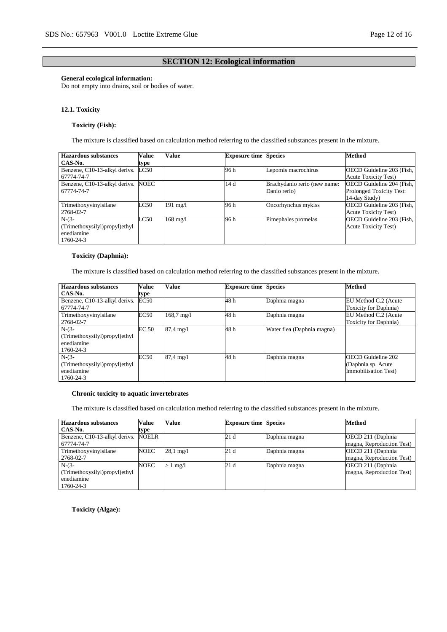# **SECTION 12: Ecological information**

### **General ecological information:**

Do not empty into drains, soil or bodies of water.

#### **12.1. Toxicity**

# **Toxicity (Fish):**

The mixture is classified based on calculation method referring to the classified substances present in the mixture.

| <b>Hazardous substances</b>        | Value | Value              | <b>Exposure time Species</b> |                              | <b>Method</b>                   |
|------------------------------------|-------|--------------------|------------------------------|------------------------------|---------------------------------|
| CAS-No.                            | type  |                    |                              |                              |                                 |
| Benzene, C10-13-alkyl derivs.      | LC50  |                    | 96 h                         | Lepomis macrochirus          | OECD Guideline 203 (Fish,       |
| 67774-74-7                         |       |                    |                              |                              | <b>Acute Toxicity Test)</b>     |
| Benzene, C10-13-alkyl derivs. NOEC |       |                    | 14 d                         | Brachydanio rerio (new name: | OECD Guideline 204 (Fish,       |
| 67774-74-7                         |       |                    |                              | Danio rerio)                 | <b>Prolonged Toxicity Test:</b> |
|                                    |       |                    |                              |                              | 14-day Study)                   |
| Trimethoxyvinylsilane              | LC50  | $191 \text{ mg}/1$ | 96 h                         | Oncorhynchus mykiss          | OECD Guideline 203 (Fish,       |
| 2768-02-7                          |       |                    |                              |                              | <b>Acute Toxicity Test)</b>     |
| $N-(3-$                            | LC50  | $168 \text{ mg}/l$ | 96 h                         | Pimephales promelas          | OECD Guideline 203 (Fish,       |
| (Trimethoxysilyl)propyl)ethyl      |       |                    |                              |                              | <b>Acute Toxicity Test)</b>     |
| enediamine                         |       |                    |                              |                              |                                 |
| 1760-24-3                          |       |                    |                              |                              |                                 |

# **Toxicity (Daphnia):**

The mixture is classified based on calculation method referring to the classified substances present in the mixture.

| <b>Hazardous</b> substances   | Value       | Value                | <b>Exposure time Species</b> |                            | <b>Method</b>             |
|-------------------------------|-------------|----------------------|------------------------------|----------------------------|---------------------------|
| CAS-No.                       | type        |                      |                              |                            |                           |
| Benzene, C10-13-alkyl derivs. | EC50        |                      | 48 h                         | Daphnia magna              | EU Method C.2 (Acute      |
| 67774-74-7                    |             |                      |                              |                            | Toxicity for Daphnia)     |
| Trimethoxyvinylsilane         | <b>EC50</b> | $168.7 \text{ mg}/1$ | 48 h                         | Daphnia magna              | EU Method C.2 (Acute      |
| 2768-02-7                     |             |                      |                              |                            | Toxicity for Daphnia)     |
| $N-(3-$                       | EC 50       | $87.4 \text{ mg}/1$  | 48 h                         | Water flea (Daphnia magna) |                           |
| (Trimethoxysilyl)propyl)ethyl |             |                      |                              |                            |                           |
| enediamine                    |             |                      |                              |                            |                           |
| 1760-24-3                     |             |                      |                              |                            |                           |
| $N-(3-$                       | <b>EC50</b> | 87,4 mg/l            | 48 h                         | Daphnia magna              | <b>OECD Guideline 202</b> |
| (Trimethoxysilyl)propyl)ethyl |             |                      |                              |                            | (Daphnia sp. Acute        |
| enediamine                    |             |                      |                              |                            | Immobilisation Test)      |
| 1760-24-3                     |             |                      |                              |                            |                           |

# **Chronic toxicity to aquatic invertebrates**

The mixture is classified based on calculation method referring to the classified substances present in the mixture.

| <b>Hazardous substances</b>         | <b>Value</b> | Value               | <b>Exposure time Species</b> |               | <b>Method</b>             |
|-------------------------------------|--------------|---------------------|------------------------------|---------------|---------------------------|
| CAS-No.                             | type         |                     |                              |               |                           |
| Benzene, C10-13-alkyl derivs. NOELR |              |                     | 21 d                         | Daphnia magna | OECD 211 (Daphnia)        |
| 67774-74-7                          |              |                     |                              |               | magna, Reproduction Test) |
| Trimethoxyvinylsilane               | <b>NOEC</b>  | $28.1 \text{ mg}/1$ | 21 d                         | Daphnia magna | OECD 211 (Daphnia         |
| 2768-02-7                           |              |                     |                              |               | magna, Reproduction Test) |
| $N-(3-$                             | NOEC         | $1 \text{ mg}/1$    | 21 d                         | Daphnia magna | OECD 211 (Daphnia)        |
| (Trimethoxysilyl)propyl)ethyl       |              |                     |                              |               | magna, Reproduction Test) |
| enediamine                          |              |                     |                              |               |                           |
| 1760-24-3                           |              |                     |                              |               |                           |

**Toxicity (Algae):**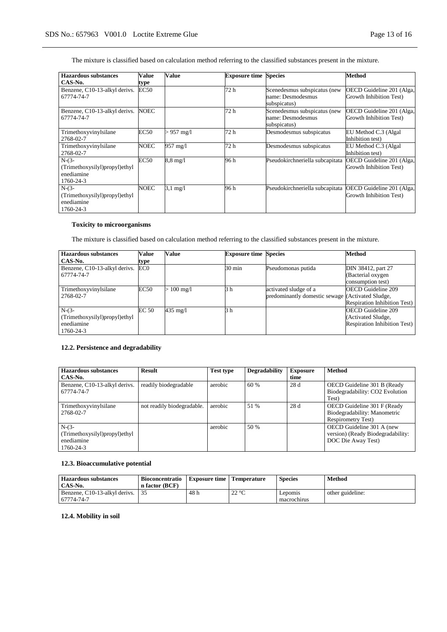The mixture is classified based on calculation method referring to the classified substances present in the mixture.

| <b>Hazardous substances</b>                                         | Value       | Value              | <b>Exposure time</b> | <b>Species</b>                                                    | Method                                               |
|---------------------------------------------------------------------|-------------|--------------------|----------------------|-------------------------------------------------------------------|------------------------------------------------------|
| CAS-No.                                                             | type        |                    |                      |                                                                   |                                                      |
| Benzene, C10-13-alkyl derivs.<br>67774-74-7                         | EC50        |                    | 72 h                 | Scenedesmus subspicatus (new<br>name: Desmodesmus<br>subspicatus) | OECD Guideline 201 (Alga,<br>Growth Inhibition Test) |
| Benzene, C10-13-alkyl derivs.<br>67774-74-7                         | <b>NOEC</b> |                    | 72 h                 | Scenedesmus subspicatus (new<br>name: Desmodesmus<br>subspicatus) | OECD Guideline 201 (Alga,<br>Growth Inhibition Test) |
| Trimethoxyvinylsilane<br>2768-02-7                                  | <b>EC50</b> | $> 957$ mg/l       | 72 h                 | Desmodesmus subspicatus                                           | EU Method C.3 (Algal)<br>Inhibition test)            |
| Trimethoxyvinylsilane<br>2768-02-7                                  | <b>NOEC</b> | 957 mg/l           | 72 h                 | Desmodesmus subspicatus                                           | EU Method C.3 (Algal<br>Inhibition test)             |
| $N-(3-$<br>(Trimethoxysilyl)propyl)ethyl<br>enediamine<br>1760-24-3 | <b>EC50</b> | $8.8 \text{ mg}/1$ | 96 h                 | Pseudokirchneriella subcapitata                                   | OECD Guideline 201 (Alga,<br>Growth Inhibition Test) |
| $N-(3-$<br>(Trimethoxysilyl)propyl)ethyl<br>enediamine<br>1760-24-3 | NOEC        | $3.1 \text{ mg}/1$ | 96 h                 | Pseudokirchneriella subcapitata                                   | OECD Guideline 201 (Alga,<br>Growth Inhibition Test) |

# **Toxicity to microorganisms**

The mixture is classified based on calculation method referring to the classified substances present in the mixture.

| <b>Hazardous substances</b>   | Value           | Value                | <b>Exposure time Species</b> |                                                  | <b>Method</b>                       |
|-------------------------------|-----------------|----------------------|------------------------------|--------------------------------------------------|-------------------------------------|
| CAS-No.                       | type            |                      |                              |                                                  |                                     |
| Benzene, C10-13-alkyl derivs. | EC <sub>0</sub> |                      | $30 \text{ min}$             | Pseudomonas putida                               | DIN 38412, part 27                  |
| 67774-74-7                    |                 |                      |                              |                                                  | (Bacterial oxygen                   |
|                               |                 |                      |                              |                                                  | consumption test)                   |
| Trimethoxyvinylsilane         | EC50            | $> 100 \text{ mg/l}$ | 3 h                          | activated sludge of a                            | <b>OECD</b> Guideline 209           |
| 2768-02-7                     |                 |                      |                              | predominantly domestic sewage (Activated Sludge, |                                     |
|                               |                 |                      |                              |                                                  | Respiration Inhibition Test)        |
| $N-(3-$                       | EC 50           | 435 mg/l             | 3 h                          |                                                  | <b>OECD</b> Guideline 209           |
| (Trimethoxysilyl)propyl)ethyl |                 |                      |                              |                                                  | (Activated Sludge,                  |
| enediamine                    |                 |                      |                              |                                                  | <b>Respiration Inhibition Test)</b> |
| 1760-24-3                     |                 |                      |                              |                                                  |                                     |

# **12.2. Persistence and degradability**

| <b>Hazardous substances</b>                                         | <b>Result</b>              | <b>Test type</b> | <b>Degradability</b> | <b>Exposure</b> | <b>Method</b>                                                                            |
|---------------------------------------------------------------------|----------------------------|------------------|----------------------|-----------------|------------------------------------------------------------------------------------------|
| CAS-No.                                                             |                            |                  |                      | time            |                                                                                          |
| Benzene, C10-13-alkyl derivs.<br>67774-74-7                         | readily biodegradable      | aerobic          | 60%                  | 28 d            | OECD Guideline 301 B (Ready<br>Biodegradability: CO2 Evolution                           |
|                                                                     |                            |                  |                      |                 | Test)                                                                                    |
| Trimethoxyvinylsilane<br>2768-02-7                                  | not readily biodegradable. | aerobic          | 51 %                 | 28d             | OECD Guideline 301 F (Ready<br>Biodegradability: Manometric<br><b>Respirometry Test)</b> |
| $N-(3-$<br>(Trimethoxysilyl)propyl)ethyl<br>enediamine<br>1760-24-3 |                            | aerobic          | 50 %                 |                 | OECD Guideline 301 A (new<br>version) (Ready Biodegradability:<br>DOC Die Away Test)     |

# **12.3. Bioaccumulative potential**

| Hazardous substances<br>CAS-No. | <b>Bioconcentratio</b><br>n factor (BCF) | <b>Exposure time</b> | <b>Temperature</b>              | <b>Species</b> | Method           |
|---------------------------------|------------------------------------------|----------------------|---------------------------------|----------------|------------------|
| Benzene, C10-13-alkyl derivs.   |                                          | 48 h                 | 220<br>$\overline{\phantom{a}}$ | Lepomis        | other guideline: |
| 67774-74-7                      |                                          |                      |                                 | macrochirus    |                  |

# **12.4. Mobility in soil**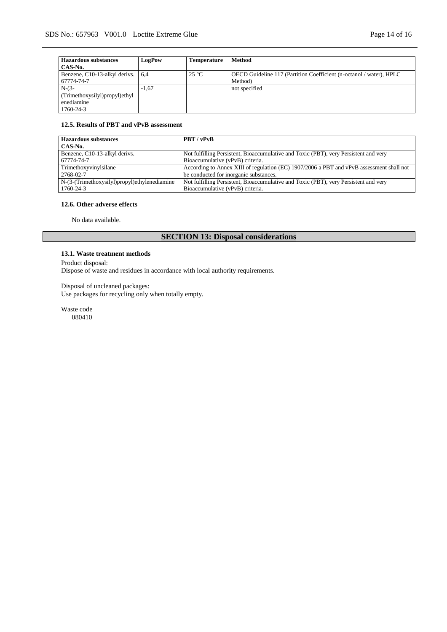| <b>Hazardous substances</b>       | <b>LogPow</b> | Temperature   | <b>Method</b>                                                       |
|-----------------------------------|---------------|---------------|---------------------------------------------------------------------|
| CAS-No.                           |               |               |                                                                     |
| Benzene, C10-13-alkyl derivs. 6,4 |               | $25^{\circ}C$ | OECD Guideline 117 (Partition Coefficient (n-octanol / water), HPLC |
| 67774-74-7                        |               |               | Method)                                                             |
| $N-(3-$                           | $-1.67$       |               | not specified                                                       |
| (Trimethoxysilyl)propyl)ethyl     |               |               |                                                                     |
| enediamine                        |               |               |                                                                     |
| 1760-24-3                         |               |               |                                                                     |

### **12.5. Results of PBT and vPvB assessment**

| <b>Hazardous substances</b>                     | PBT / vPvB                                                                               |
|-------------------------------------------------|------------------------------------------------------------------------------------------|
| CAS-No.                                         |                                                                                          |
| Benzene, C10-13-alkyl derivs.                   | Not fulfilling Persistent, Bioaccumulative and Toxic (PBT), very Persistent and very     |
| 67774-74-7                                      | Bioaccumulative (vPvB) criteria.                                                         |
| Trimethoxyvinylsilane                           | According to Annex XIII of regulation (EC) 1907/2006 a PBT and vPvB assessment shall not |
| 2768-02-7                                       | be conducted for inorganic substances.                                                   |
| $N-(3-(Trimethoxysilyl)propvl)$ ethylenediamine | Not fulfilling Persistent, Bioaccumulative and Toxic (PBT), very Persistent and very     |
| 1760-24-3                                       | Bioaccumulative (vPvB) criteria.                                                         |

# **12.6. Other adverse effects**

No data available.

# **SECTION 13: Disposal considerations**

# **13.1. Waste treatment methods**

Product disposal:

Dispose of waste and residues in accordance with local authority requirements.

Disposal of uncleaned packages: Use packages for recycling only when totally empty.

Waste code 080410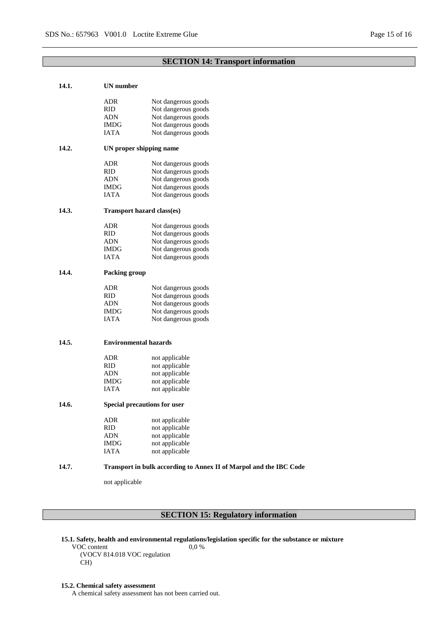# **SECTION 14: Transport information**

| 14.1. | UN number                                                          |                                  |  |  |  |
|-------|--------------------------------------------------------------------|----------------------------------|--|--|--|
|       | ADR                                                                | Not dangerous goods              |  |  |  |
|       | <b>RID</b>                                                         | Not dangerous goods              |  |  |  |
|       | ADN                                                                | Not dangerous goods              |  |  |  |
|       | IMDG                                                               | Not dangerous goods              |  |  |  |
|       | IATA                                                               | Not dangerous goods              |  |  |  |
| 14.2. | UN proper shipping name                                            |                                  |  |  |  |
|       | ADR                                                                | Not dangerous goods              |  |  |  |
|       | <b>RID</b>                                                         | Not dangerous goods              |  |  |  |
|       | ADN                                                                | Not dangerous goods              |  |  |  |
|       | IMDG                                                               | Not dangerous goods              |  |  |  |
|       | IATA                                                               | Not dangerous goods              |  |  |  |
| 14.3. | Transport hazard class(es)                                         |                                  |  |  |  |
|       | ADR                                                                | Not dangerous goods              |  |  |  |
|       | <b>RID</b>                                                         | Not dangerous goods              |  |  |  |
|       | ADN                                                                | Not dangerous goods              |  |  |  |
|       | <b>IMDG</b>                                                        | Not dangerous goods              |  |  |  |
|       | <b>IATA</b>                                                        | Not dangerous goods              |  |  |  |
| 14.4. | Packing group                                                      |                                  |  |  |  |
|       | ADR                                                                | Not dangerous goods              |  |  |  |
|       | <b>RID</b>                                                         | Not dangerous goods              |  |  |  |
|       | ADN                                                                | Not dangerous goods              |  |  |  |
|       | IMDG                                                               | Not dangerous goods              |  |  |  |
|       | <b>IATA</b>                                                        | Not dangerous goods              |  |  |  |
| 14.5. | <b>Environmental hazards</b>                                       |                                  |  |  |  |
|       |                                                                    |                                  |  |  |  |
|       | ADR                                                                | not applicable                   |  |  |  |
|       | RID                                                                | not applicable                   |  |  |  |
|       | ADN                                                                | not applicable                   |  |  |  |
|       | <b>IMDG</b><br>IATA                                                | not applicable<br>not applicable |  |  |  |
| 14.6. | Special precautions for user                                       |                                  |  |  |  |
|       | ADR                                                                | not applicable                   |  |  |  |
|       | RID.                                                               | not applicable                   |  |  |  |
|       | <b>ADN</b>                                                         | not applicable                   |  |  |  |
|       | <b>IMDG</b>                                                        | not applicable                   |  |  |  |
|       | <b>IATA</b>                                                        | not applicable                   |  |  |  |
| 14.7. | Transport in bulk according to Annex II of Marpol and the IBC Code |                                  |  |  |  |
|       | not applicable                                                     |                                  |  |  |  |
|       |                                                                    |                                  |  |  |  |

# **SECTION 15: Regulatory information**

**15.1. Safety, health and environmental regulations/legislation specific for the substance or mixture**

VOC content (VOCV 814.018 VOC regulation CH) 0,0 %

#### **15.2. Chemical safety assessment**

A chemical safety assessment has not been carried out.